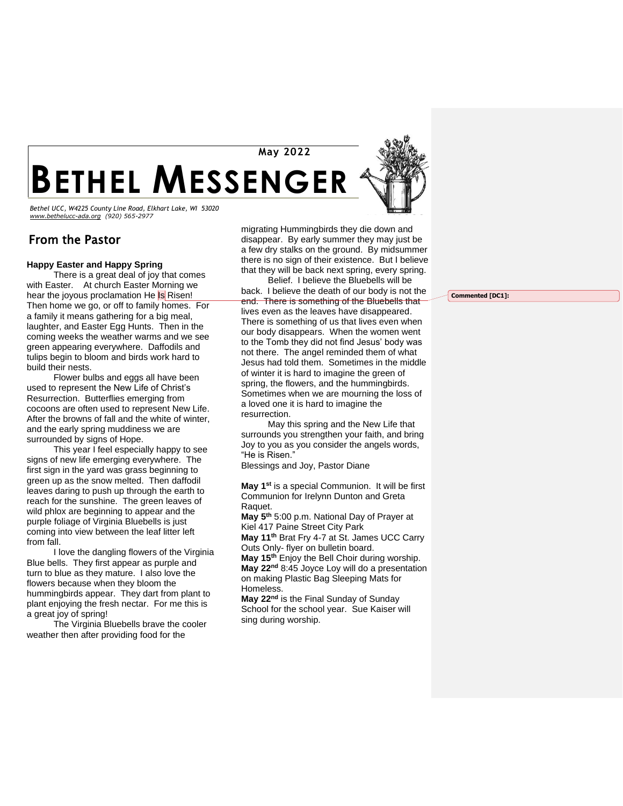**BETHEL MESSENGER May 2022 2016**

**20122012** *Bethel UCC, W4225 County Line Road, Elkhart Lake, WI 53020 [www.bethelucc-ada.org](http://www.bethelucc-ada.org/) (920) 565-2977*

## From the Pastor

#### **Happy Easter and Happy Spring**

There is a great deal of joy that comes with Easter. At church Easter Morning we hear the joyous proclamation He Is Risen! Then home we go, or off to family homes. For a family it means gathering for a big meal, laughter, and Easter Egg Hunts. Then in the coming weeks the weather warms and we see green appearing everywhere. Daffodils and tulips begin to bloom and birds work hard to build their nests.

Flower bulbs and eggs all have been used to represent the New Life of Christ's Resurrection. Butterflies emerging from cocoons are often used to represent New Life. After the browns of fall and the white of winter, and the early spring muddiness we are surrounded by signs of Hope.

This year I feel especially happy to see signs of new life emerging everywhere. The first sign in the yard was grass beginning to green up as the snow melted. Then daffodil leaves daring to push up through the earth to reach for the sunshine. The green leaves of wild phlox are beginning to appear and the purple foliage of Virginia Bluebells is just coming into view between the leaf litter left from fall.

I love the dangling flowers of the Virginia Blue bells. They first appear as purple and turn to blue as they mature. I also love the flowers because when they bloom the hummingbirds appear. They dart from plant to plant enjoying the fresh nectar. For me this is a great joy of spring!

The Virginia Bluebells brave the cooler weather then after providing food for the

migrating Hummingbirds they die down and disappear. By early summer they may just be a few dry stalks on the ground. By midsummer there is no sign of their existence. But I believe that they will be back next spring, every spring.

Belief. I believe the Bluebells will be back. I believe the death of our body is not the end. There is something of the Bluebells that lives even as the leaves have disappeared. There is something of us that lives even when our body disappears. When the women went to the Tomb they did not find Jesus' body was not there. The angel reminded them of what Jesus had told them. Sometimes in the middle of winter it is hard to imagine the green of spring, the flowers, and the hummingbirds. Sometimes when we are mourning the loss of a loved one it is hard to imagine the resurrection.

May this spring and the New Life that surrounds you strengthen your faith, and bring Joy to you as you consider the angels words, "He is Risen."

Blessings and Joy, Pastor Diane

**May 1 st** is a special Communion. It will be first Communion for Irelynn Dunton and Greta Raquet.

**May 5th** 5:00 p.m. National Day of Prayer at Kiel 417 Paine Street City Park

**May 11th** Brat Fry 4-7 at St. James UCC Carry Outs Only- flyer on bulletin board.

**May 15th** Enjoy the Bell Choir during worship. **May 22nd** 8:45 Joyce Loy will do a presentation on making Plastic Bag Sleeping Mats for Homeless.

**May 22nd** is the Final Sunday of Sunday School for the school year. Sue Kaiser will sing during worship.

**Commented [DC1]:**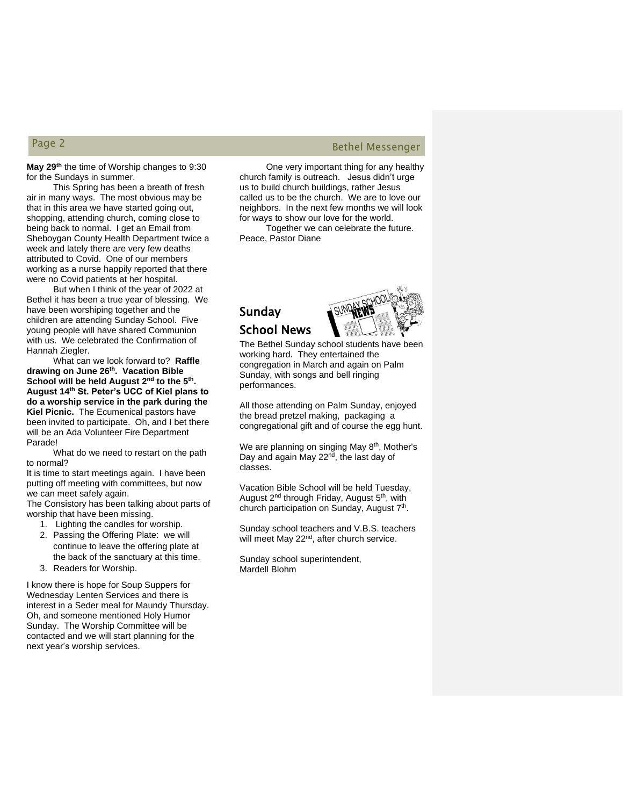### **May 29th** the time of Worship changes to 9:30 for the Sundays in summer.

This Spring has been a breath of fresh air in many ways. The most obvious may be that in this area we have started going out, shopping, attending church, coming close to being back to normal. I get an Email from Sheboygan County Health Department twice a week and lately there are very few deaths attributed to Covid. One of our members working as a nurse happily reported that there were no Covid patients at her hospital.

But when I think of the year of 2022 at Bethel it has been a true year of blessing. We have been worshiping together and the children are attending Sunday School. Five young people will have shared Communion with us. We celebrated the Confirmation of Hannah Ziegler.

What can we look forward to? **Raffle drawing on June 26th. Vacation Bible School will be held August 2nd to the 5th . August 14th St. Peter's UCC of Kiel plans to do a worship service in the park during the Kiel Picnic.** The Ecumenical pastors have been invited to participate. Oh, and I bet there will be an Ada Volunteer Fire Department Parade!

What do we need to restart on the path to normal?

It is time to start meetings again. I have been putting off meeting with committees, but now we can meet safely again.

The Consistory has been talking about parts of worship that have been missing.

- 1. Lighting the candles for worship.
- 2. Passing the Offering Plate: we will continue to leave the offering plate at the back of the sanctuary at this time.
- 3. Readers for Worship.

I know there is hope for Soup Suppers for Wednesday Lenten Services and there is interest in a Seder meal for Maundy Thursday. Oh, and someone mentioned Holy Humor Sunday. The Worship Committee will be contacted and we will start planning for the next year's worship services.

# Page 2 Bethel Messenger

One very important thing for any healthy church family is outreach. Jesus didn't urge us to build church buildings, rather Jesus called us to be the church. We are to love our neighbors. In the next few months we will look for ways to show our love for the world.

Together we can celebrate the future. Peace, Pastor Diane

# Sunday School News



The Bethel Sunday school students have been working hard. They entertained the congregation in March and again on Palm Sunday, with songs and bell ringing performances.

All those attending on Palm Sunday, enjoyed the bread pretzel making, packaging a congregational gift and of course the egg hunt.

We are planning on singing May 8<sup>th</sup>, Mother's Day and again May 22<sup>nd</sup>, the last day of classes.

Vacation Bible School will be held Tuesday, August 2<sup>nd</sup> through Friday, August 5<sup>th</sup>, with church participation on Sunday, August 7<sup>th</sup>.

Sunday school teachers and V.B.S. teachers will meet May 22<sup>nd</sup>, after church service.

Sunday school superintendent, Mardell Blohm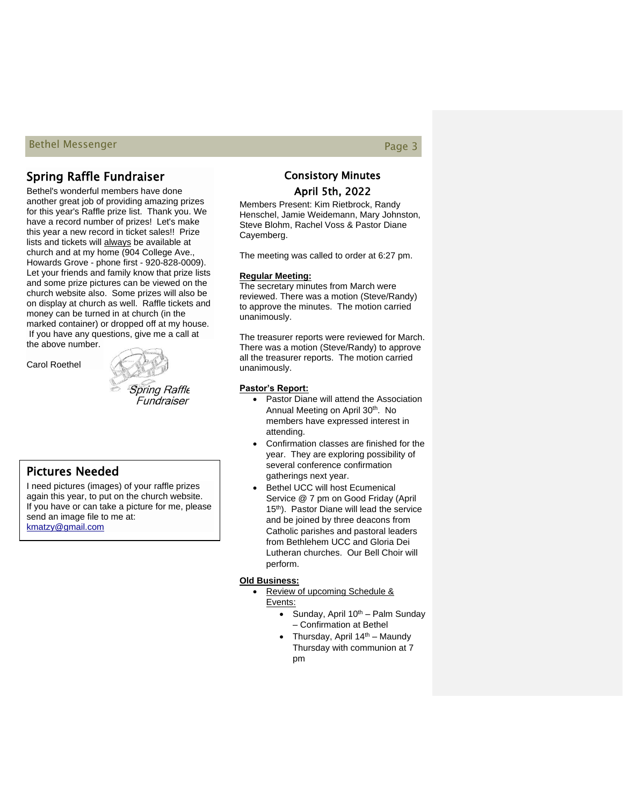## Bethel Messenger Page 3 and 2008 and 2008 and 2008 and 2008 and 2008 and 2008 and 2008 and 2008 and 2008 and 2008 and 2008 and 2008 and 2008 and 2008 and 2008 and 2008 and 2008 and 2008 and 2008 and 2008 and 2008 and 2008

## Spring Raffle Fundraiser

Bethel's wonderful members have done another great job of providing amazing prizes for this year's Raffle prize list. Thank you. We have a record number of prizes! Let's make this year a new record in ticket sales!! Prize lists and tickets will always be available at church and at my home (904 College Ave., Howards Grove - phone first - 920-828-0009). Let your friends and family know that prize lists and some prize pictures can be viewed on the church website also. Some prizes will also be on display at church as well. Raffle tickets and money can be turned in at church (in the marked container) or dropped off at my house. If you have any questions, give me a call at the above number.

Carol Roethel



## Pictures Needed

I need pictures (images) of your raffle prizes again this year, to put on the church website. If you have or can take a picture for me, please send an image file to me at: [kmatzy@gmail.com](mailto:kmatzy@gmail.com)

## Consistory Minutes April 5th, 2022

Members Present: Kim Rietbrock, Randy Henschel, Jamie Weidemann, Mary Johnston, Steve Blohm, Rachel Voss & Pastor Diane Cayemberg.

The meeting was called to order at 6:27 pm.

#### **Regular Meeting:**

The secretary minutes from March were reviewed. There was a motion (Steve/Randy) to approve the minutes. The motion carried unanimously.

The treasurer reports were reviewed for March. There was a motion (Steve/Randy) to approve all the treasurer reports. The motion carried unanimously.

#### **Pastor's Report:**

- Pastor Diane will attend the Association Annual Meeting on April 30<sup>th</sup>. No members have expressed interest in attending.
- Confirmation classes are finished for the year. They are exploring possibility of several conference confirmation gatherings next year.
- Bethel UCC will host Ecumenical Service @ 7 pm on Good Friday (April 15<sup>th</sup>). Pastor Diane will lead the service and be joined by three deacons from Catholic parishes and pastoral leaders from Bethlehem UCC and Gloria Dei Lutheran churches. Our Bell Choir will perform.

#### **Old Business:**

- Review of upcoming Schedule & Events:
	- Sunday, April  $10^{th}$  Palm Sunday – Confirmation at Bethel
	- Thursday, April  $14<sup>th</sup>$  Maundy Thursday with communion at 7 pm